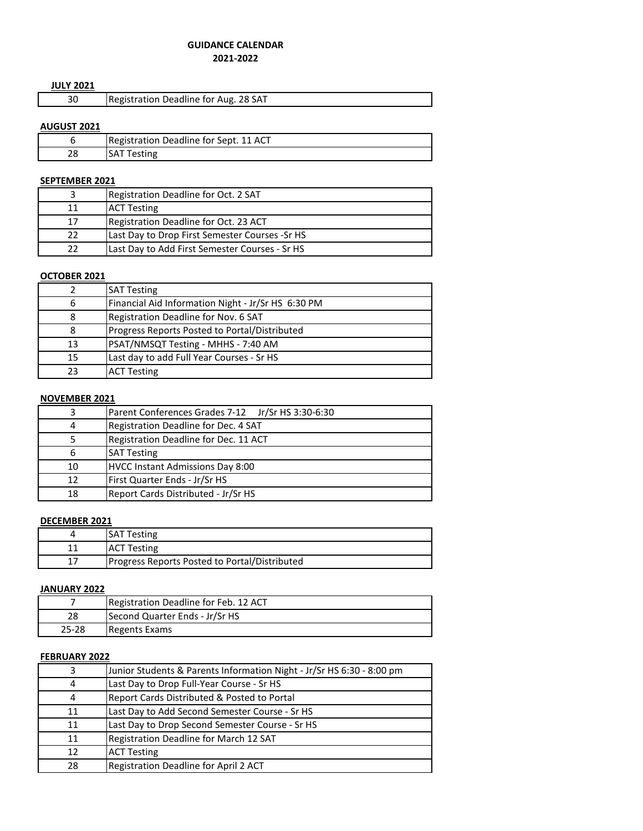# **GUIDANCE CALENDAR**

# **2021-2022**

# **JULY 2021**

|  | Registration Deadline for Aug. 28 SAT |
|--|---------------------------------------|

# **AUGUST 2021**

|    | Registration Deadline for Sept. 11 ACT |
|----|----------------------------------------|
| 28 | SAT<br>Testing                         |

# **SEPTEMBER 2021**

|    | Registration Deadline for Oct. 2 SAT           |
|----|------------------------------------------------|
| 11 | <b>ACT Testing</b>                             |
| 17 | Registration Deadline for Oct. 23 ACT          |
| 22 | Last Day to Drop First Semester Courses -Sr HS |
| 22 | Last Day to Add First Semester Courses - Sr HS |

#### **OCTOBER 2021**

|    | <b>SAT Testing</b>                                 |
|----|----------------------------------------------------|
| 6  | Financial Aid Information Night - Jr/Sr HS 6:30 PM |
| 8  | Registration Deadline for Nov. 6 SAT               |
| 8  | Progress Reports Posted to Portal/Distributed      |
| 13 | PSAT/NMSQT Testing - MHHS - 7:40 AM                |
| 15 | Last day to add Full Year Courses - Sr HS          |
| 23 | <b>ACT Testing</b>                                 |

# **NOVEMBER 2021**

| 3  | Parent Conferences Grades 7-12 Jr/Sr HS 3:30-6:30 |
|----|---------------------------------------------------|
| 4  | Registration Deadline for Dec. 4 SAT              |
| 5  | Registration Deadline for Dec. 11 ACT             |
| 6  | <b>SAT Testing</b>                                |
| 10 | HVCC Instant Admissions Day 8:00                  |
| 12 | First Quarter Ends - Jr/Sr HS                     |
| 18 | Report Cards Distributed - Jr/Sr HS               |

### **DECEMBER 2021**

| <b>SAT Testing</b>                                   |
|------------------------------------------------------|
| <b>ACT Testing</b>                                   |
| <b>Progress Reports Posted to Portal/Distributed</b> |

# **JANUARY 2022**

|       | Registration Deadline for Feb. 12 ACT |
|-------|---------------------------------------|
| 28    | Second Quarter Ends - Jr/Sr HS        |
| 25-28 | Regents Exams                         |

#### **FEBRUARY 2022**

| 3  | Junior Students & Parents Information Night - Jr/Sr HS 6:30 - 8:00 pm |
|----|-----------------------------------------------------------------------|
| 4  | Last Day to Drop Full-Year Course - Sr HS                             |
| 4  | Report Cards Distributed & Posted to Portal                           |
| 11 | Last Day to Add Second Semester Course - Sr HS                        |
| 11 | Last Day to Drop Second Semester Course - Sr HS                       |
| 11 | Registration Deadline for March 12 SAT                                |
| 12 | <b>ACT Testing</b>                                                    |
| 28 | Registration Deadline for April 2 ACT                                 |